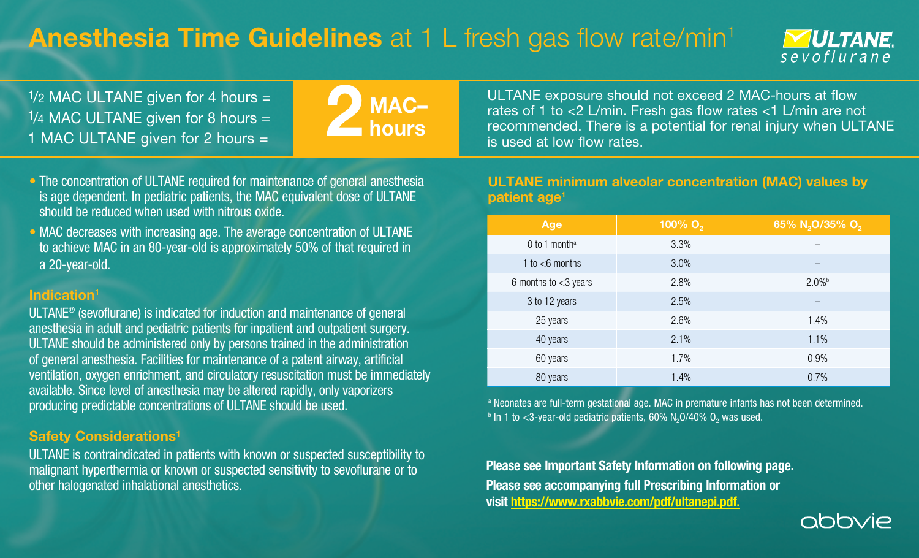# **Anesthesia Time Guidelines** at 1 L fresh gas flow rate/min<sup>1</sup>



 $1/2$  MAC ULTANE given for 4 hours =  $1/4$  MAC ULTANE given for 8 hours = 1 MAC ULTANE given for 2 hours =



- The concentration of ULTANE required for maintenance of general anesthesia is age dependent. In pediatric patients, the MAC equivalent dose of ULTANE should be reduced when used with nitrous oxide.
- MAC decreases with increasing age. The average concentration of ULTANE to achieve MAC in an 80-year-old is approximately 50% of that required in a 20-year-old.

### Indication<sup>1</sup>

ULTANE® (sevoflurane) is indicated for induction and maintenance of general anesthesia in adult and pediatric patients for inpatient and outpatient surgery. ULTANE should be administered only by persons trained in the administration of general anesthesia. Facilities for maintenance of a patent airway, artificial ventilation, oxygen enrichment, and circulatory resuscitation must be immediately available. Since level of anesthesia may be altered rapidly, only vaporizers producing predictable concentrations of ULTANE should be used.

## Safety Considerations<sup>1</sup>

ULTANE is contraindicated in patients with known or suspected susceptibility to malignant hyperthermia or known or suspected sensitivity to sevoflurane or to other halogenated inhalational anesthetics.

ULTANE exposure should not exceed 2 MAC-hours at flow rates of 1 to <2 L/min. Fresh gas flow rates <1 L/min are not recommended. There is a potential for renal injury when ULTANE is used at low flow rates.

#### ULTANE minimum alveolar concentration (MAC) values by patient age<sup>1</sup>

| Age                         | 100% O <sub>2</sub> | 65% N <sub>2</sub> O/35% O <sub>2</sub> |
|-----------------------------|---------------------|-----------------------------------------|
| $0$ to 1 month <sup>a</sup> | 3.3%                |                                         |
| 1 to $<$ 6 months           | 3.0%                |                                         |
| 6 months to $<$ 3 years     | 2.8%                | 2.0%                                    |
| 3 to 12 years               | 2.5%                |                                         |
| 25 years                    | 2.6%                | 1.4%                                    |
| 40 years                    | 2.1%                | 1.1%                                    |
| 60 years                    | 1.7%                | 0.9%                                    |
| 80 years                    | 1.4%                | 0.7%                                    |

a Neonates are full-term gestational age. MAC in premature infants has not been determined.  $b$  In 1 to <3-year-old pediatric patients, 60% N<sub>2</sub>O/40% O<sub>2</sub> was used.

Please see Important Safety Information on following page. Please see accompanying full Prescribing Information or visit<https://www.rxabbvie.com/pdf/ultanepi.pdf.>